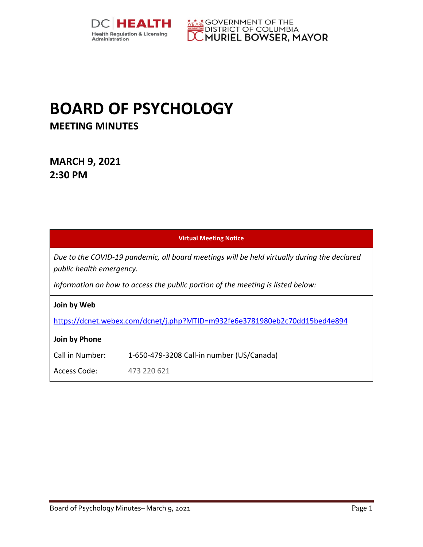



# **BOARD OF PSYCHOLOGY MEETING MINUTES**

**MARCH 9, 2021 2:30 PM** 

| <b>Virtual Meeting Notice</b>                                                                                           |                                           |  |
|-------------------------------------------------------------------------------------------------------------------------|-------------------------------------------|--|
| Due to the COVID-19 pandemic, all board meetings will be held virtually during the declared<br>public health emergency. |                                           |  |
| Information on how to access the public portion of the meeting is listed below:                                         |                                           |  |
| Join by Web                                                                                                             |                                           |  |
| https://dcnet.webex.com/dcnet/j.php?MTID=m932fe6e3781980eb2c70dd15bed4e894                                              |                                           |  |
| Join by Phone                                                                                                           |                                           |  |
| Call in Number:                                                                                                         | 1-650-479-3208 Call-in number (US/Canada) |  |
| Access Code:                                                                                                            | 473 220 621                               |  |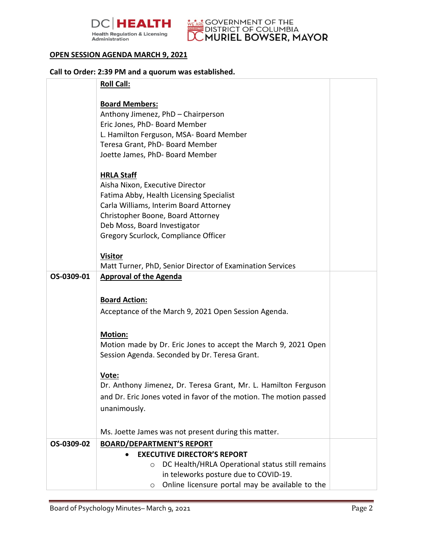



#### **OPEN SESSION AGENDA MARCH 9, 2021**

| Call to Order: 2:39 PM and a quorum was established. |                                                                    |  |
|------------------------------------------------------|--------------------------------------------------------------------|--|
|                                                      | <b>Roll Call:</b>                                                  |  |
|                                                      |                                                                    |  |
|                                                      | <b>Board Members:</b>                                              |  |
|                                                      | Anthony Jimenez, PhD - Chairperson                                 |  |
|                                                      | Eric Jones, PhD- Board Member                                      |  |
|                                                      | L. Hamilton Ferguson, MSA- Board Member                            |  |
|                                                      | Teresa Grant, PhD- Board Member                                    |  |
|                                                      | Joette James, PhD- Board Member                                    |  |
|                                                      | <b>HRLA Staff</b>                                                  |  |
|                                                      | Aisha Nixon, Executive Director                                    |  |
|                                                      | Fatima Abby, Health Licensing Specialist                           |  |
|                                                      | Carla Williams, Interim Board Attorney                             |  |
|                                                      | Christopher Boone, Board Attorney                                  |  |
|                                                      | Deb Moss, Board Investigator                                       |  |
|                                                      | Gregory Scurlock, Compliance Officer                               |  |
|                                                      | <b>Visitor</b>                                                     |  |
|                                                      | Matt Turner, PhD, Senior Director of Examination Services          |  |
| OS-0309-01                                           | <b>Approval of the Agenda</b>                                      |  |
|                                                      |                                                                    |  |
|                                                      |                                                                    |  |
|                                                      | <b>Board Action:</b>                                               |  |
|                                                      | Acceptance of the March 9, 2021 Open Session Agenda.               |  |
|                                                      | <b>Motion:</b>                                                     |  |
|                                                      | Motion made by Dr. Eric Jones to accept the March 9, 2021 Open     |  |
|                                                      | Session Agenda. Seconded by Dr. Teresa Grant.                      |  |
|                                                      |                                                                    |  |
|                                                      | Vote:                                                              |  |
|                                                      | Dr. Anthony Jimenez, Dr. Teresa Grant, Mr. L. Hamilton Ferguson    |  |
|                                                      | and Dr. Eric Jones voted in favor of the motion. The motion passed |  |
|                                                      | unanimously.                                                       |  |
|                                                      |                                                                    |  |
|                                                      | Ms. Joette James was not present during this matter.               |  |
| OS-0309-02                                           | <b>BOARD/DEPARTMENT'S REPORT</b>                                   |  |
|                                                      | <b>EXECUTIVE DIRECTOR'S REPORT</b>                                 |  |
|                                                      | DC Health/HRLA Operational status still remains<br>$\circ$         |  |
|                                                      | in teleworks posture due to COVID-19.                              |  |
|                                                      | Online licensure portal may be available to the<br>$\circ$         |  |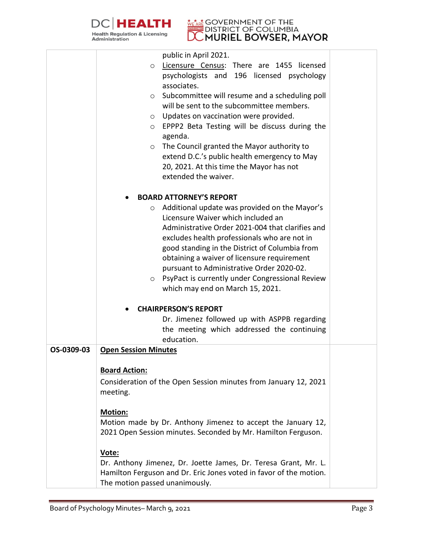



|            | public in April 2021.<br>Licensure Census: There are 1455 licensed<br>$\circ$<br>psychologists and 196 licensed psychology<br>associates.<br>$\circ$ Subcommittee will resume and a scheduling poll<br>will be sent to the subcommittee members.<br>Updates on vaccination were provided.<br>$\circ$<br>EPPP2 Beta Testing will be discuss during the<br>$\circ$<br>agenda.<br>The Council granted the Mayor authority to<br>$\circ$<br>extend D.C.'s public health emergency to May<br>20, 2021. At this time the Mayor has not |  |
|------------|----------------------------------------------------------------------------------------------------------------------------------------------------------------------------------------------------------------------------------------------------------------------------------------------------------------------------------------------------------------------------------------------------------------------------------------------------------------------------------------------------------------------------------|--|
|            | extended the waiver.                                                                                                                                                                                                                                                                                                                                                                                                                                                                                                             |  |
|            | <b>BOARD ATTORNEY'S REPORT</b>                                                                                                                                                                                                                                                                                                                                                                                                                                                                                                   |  |
|            | Additional update was provided on the Mayor's<br>$\circ$<br>Licensure Waiver which included an<br>Administrative Order 2021-004 that clarifies and<br>excludes health professionals who are not in<br>good standing in the District of Columbia from<br>obtaining a waiver of licensure requirement<br>pursuant to Administrative Order 2020-02.<br>PsyPact is currently under Congressional Review<br>$\circ$<br>which may end on March 15, 2021.                                                                               |  |
|            | <b>CHAIRPERSON'S REPORT</b>                                                                                                                                                                                                                                                                                                                                                                                                                                                                                                      |  |
|            | Dr. Jimenez followed up with ASPPB regarding<br>the meeting which addressed the continuing<br>education.                                                                                                                                                                                                                                                                                                                                                                                                                         |  |
| OS-0309-03 | <b>Open Session Minutes</b>                                                                                                                                                                                                                                                                                                                                                                                                                                                                                                      |  |
|            | <b>Board Action:</b><br>Consideration of the Open Session minutes from January 12, 2021<br>meeting.                                                                                                                                                                                                                                                                                                                                                                                                                              |  |
|            | Motion:<br>Motion made by Dr. Anthony Jimenez to accept the January 12,<br>2021 Open Session minutes. Seconded by Mr. Hamilton Ferguson.                                                                                                                                                                                                                                                                                                                                                                                         |  |
|            | Vote:<br>Dr. Anthony Jimenez, Dr. Joette James, Dr. Teresa Grant, Mr. L.<br>Hamilton Ferguson and Dr. Eric Jones voted in favor of the motion.<br>The motion passed unanimously.                                                                                                                                                                                                                                                                                                                                                 |  |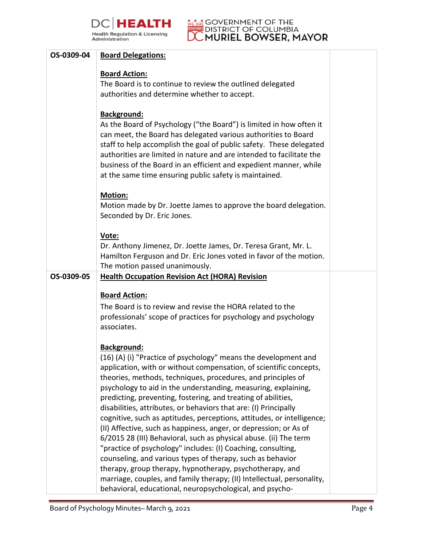



| OS-0309-04 | <b>Board Delegations:</b>                                                                                                                                                                                                                                                                                                                                                                                                                                                                                                                                                                                                                                                                                                                                                                                                                                                                                                                                                              |  |
|------------|----------------------------------------------------------------------------------------------------------------------------------------------------------------------------------------------------------------------------------------------------------------------------------------------------------------------------------------------------------------------------------------------------------------------------------------------------------------------------------------------------------------------------------------------------------------------------------------------------------------------------------------------------------------------------------------------------------------------------------------------------------------------------------------------------------------------------------------------------------------------------------------------------------------------------------------------------------------------------------------|--|
|            | <b>Board Action:</b><br>The Board is to continue to review the outlined delegated<br>authorities and determine whether to accept.                                                                                                                                                                                                                                                                                                                                                                                                                                                                                                                                                                                                                                                                                                                                                                                                                                                      |  |
|            | <b>Background:</b><br>As the Board of Psychology ("the Board") is limited in how often it<br>can meet, the Board has delegated various authorities to Board<br>staff to help accomplish the goal of public safety. These delegated<br>authorities are limited in nature and are intended to facilitate the<br>business of the Board in an efficient and expedient manner, while<br>at the same time ensuring public safety is maintained.                                                                                                                                                                                                                                                                                                                                                                                                                                                                                                                                              |  |
|            | <b>Motion:</b><br>Motion made by Dr. Joette James to approve the board delegation.<br>Seconded by Dr. Eric Jones.                                                                                                                                                                                                                                                                                                                                                                                                                                                                                                                                                                                                                                                                                                                                                                                                                                                                      |  |
|            | Vote:<br>Dr. Anthony Jimenez, Dr. Joette James, Dr. Teresa Grant, Mr. L.<br>Hamilton Ferguson and Dr. Eric Jones voted in favor of the motion.<br>The motion passed unanimously.                                                                                                                                                                                                                                                                                                                                                                                                                                                                                                                                                                                                                                                                                                                                                                                                       |  |
| OS-0309-05 | <b>Health Occupation Revision Act (HORA) Revision</b>                                                                                                                                                                                                                                                                                                                                                                                                                                                                                                                                                                                                                                                                                                                                                                                                                                                                                                                                  |  |
|            | <b>Board Action:</b><br>The Board is to review and revise the HORA related to the<br>professionals' scope of practices for psychology and psychology<br>associates.                                                                                                                                                                                                                                                                                                                                                                                                                                                                                                                                                                                                                                                                                                                                                                                                                    |  |
|            | <b>Background:</b><br>(16) (A) (i) "Practice of psychology" means the development and<br>application, with or without compensation, of scientific concepts,<br>theories, methods, techniques, procedures, and principles of<br>psychology to aid in the understanding, measuring, explaining,<br>predicting, preventing, fostering, and treating of abilities,<br>disabilities, attributes, or behaviors that are: (I) Principally<br>cognitive, such as aptitudes, perceptions, attitudes, or intelligence;<br>(II) Affective, such as happiness, anger, or depression; or As of<br>6/2015 28 (III) Behavioral, such as physical abuse. (ii) The term<br>"practice of psychology" includes: (I) Coaching, consulting,<br>counseling, and various types of therapy, such as behavior<br>therapy, group therapy, hypnotherapy, psychotherapy, and<br>marriage, couples, and family therapy; (II) Intellectual, personality,<br>behavioral, educational, neuropsychological, and psycho- |  |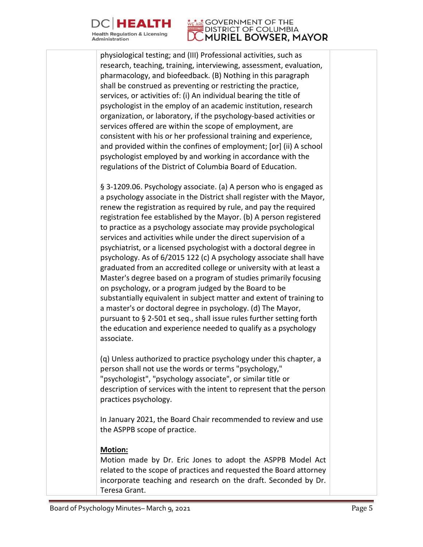

#### **GOVERNMENT OF THE DISTRICT OF COLUMBIA** MURIEL BOWSER, MAYOR

physiological testing; and (III) Professional activities, such as research, teaching, training, interviewing, assessment, evaluation, pharmacology, and biofeedback. (B) Nothing in this paragraph shall be construed as preventing or restricting the practice, services, or activities of: (i) An individual bearing the title of psychologist in the employ of an academic institution, research organization, or laboratory, if the psychology-based activities or services offered are within the scope of employment, are consistent with his or her professional training and experience, and provided within the confines of employment; [or] (ii) A school psychologist employed by and working in accordance with the regulations of the District of Columbia Board of Education.

§ 3-1209.06. Psychology associate. (a) A person who is engaged as a psychology associate in the District shall register with the Mayor, renew the registration as required by rule, and pay the required registration fee established by the Mayor. (b) A person registered to practice as a psychology associate may provide psychological services and activities while under the direct supervision of a psychiatrist, or a licensed psychologist with a doctoral degree in psychology. As of 6/2015 122 (c) A psychology associate shall have graduated from an accredited college or university with at least a Master's degree based on a program of studies primarily focusing on psychology, or a program judged by the Board to be substantially equivalent in subject matter and extent of training to a master's or doctoral degree in psychology. (d) The Mayor, pursuant to § 2-501 et seq., shall issue rules further setting forth the education and experience needed to qualify as a psychology associate.

(q) Unless authorized to practice psychology under this chapter, a person shall not use the words or terms "psychology," "psychologist", "psychology associate", or similar title or description of services with the intent to represent that the person practices psychology.

In January 2021, the Board Chair recommended to review and use the ASPPB scope of practice.

#### **Motion:**

Motion made by Dr. Eric Jones to adopt the ASPPB Model Act related to the scope of practices and requested the Board attorney incorporate teaching and research on the draft. Seconded by Dr. Teresa Grant.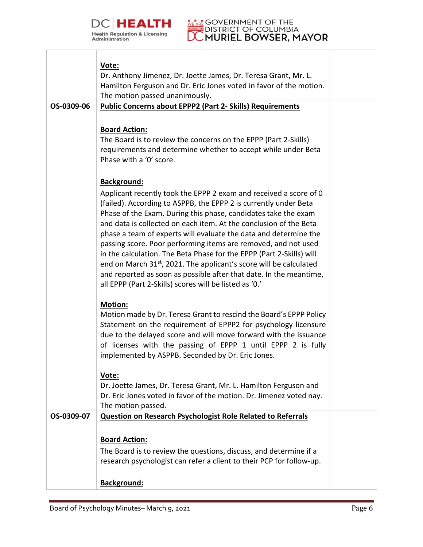



|            | Vote:<br>Dr. Anthony Jimenez, Dr. Joette James, Dr. Teresa Grant, Mr. L.<br>Hamilton Ferguson and Dr. Eric Jones voted in favor of the motion.<br>The motion passed unanimously.                                                                                                                                                                                                                                                                                                                                                                                                                                                                                                                                            |  |
|------------|-----------------------------------------------------------------------------------------------------------------------------------------------------------------------------------------------------------------------------------------------------------------------------------------------------------------------------------------------------------------------------------------------------------------------------------------------------------------------------------------------------------------------------------------------------------------------------------------------------------------------------------------------------------------------------------------------------------------------------|--|
| OS-0309-06 | <b>Public Concerns about EPPP2 (Part 2- Skills) Requirements</b>                                                                                                                                                                                                                                                                                                                                                                                                                                                                                                                                                                                                                                                            |  |
|            | <b>Board Action:</b><br>The Board is to review the concerns on the EPPP (Part 2-Skills)<br>requirements and determine whether to accept while under Beta<br>Phase with a '0' score.                                                                                                                                                                                                                                                                                                                                                                                                                                                                                                                                         |  |
|            | Background:<br>Applicant recently took the EPPP 2 exam and received a score of 0<br>(failed). According to ASPPB, the EPPP 2 is currently under Beta<br>Phase of the Exam. During this phase, candidates take the exam<br>and data is collected on each item. At the conclusion of the Beta<br>phase a team of experts will evaluate the data and determine the<br>passing score. Poor performing items are removed, and not used<br>in the calculation. The Beta Phase for the EPPP (Part 2-Skills) will<br>end on March 31 <sup>st</sup> , 2021. The applicant's score will be calculated<br>and reported as soon as possible after that date. In the meantime,<br>all EPPP (Part 2-Skills) scores will be listed as '0.' |  |
|            | <b>Motion:</b><br>Motion made by Dr. Teresa Grant to rescind the Board's EPPP Policy<br>Statement on the requirement of EPPP2 for psychology licensure<br>due to the delayed score and will move forward with the issuance<br>of licenses with the passing of EPPP 1 until EPPP 2 is fully<br>implemented by ASPPB. Seconded by Dr. Eric Jones.                                                                                                                                                                                                                                                                                                                                                                             |  |
|            | Vote:<br>Dr. Joette James, Dr. Teresa Grant, Mr. L. Hamilton Ferguson and<br>Dr. Eric Jones voted in favor of the motion. Dr. Jimenez voted nay.<br>The motion passed.                                                                                                                                                                                                                                                                                                                                                                                                                                                                                                                                                      |  |
| OS-0309-07 | <b>Question on Research Psychologist Role Related to Referrals</b>                                                                                                                                                                                                                                                                                                                                                                                                                                                                                                                                                                                                                                                          |  |
|            | <b>Board Action:</b><br>The Board is to review the questions, discuss, and determine if a<br>research psychologist can refer a client to their PCP for follow-up.<br><b>Background:</b>                                                                                                                                                                                                                                                                                                                                                                                                                                                                                                                                     |  |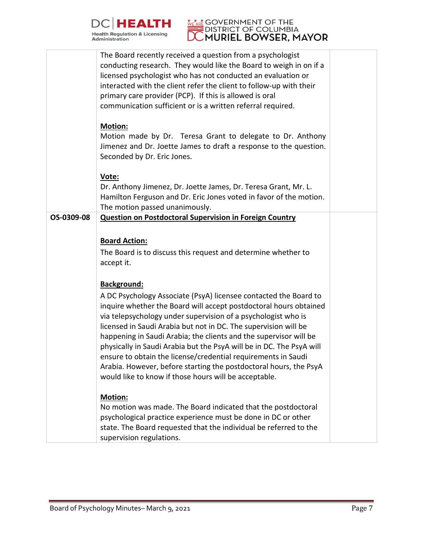



|            | The Board recently received a question from a psychologist<br>conducting research. They would like the Board to weigh in on if a<br>licensed psychologist who has not conducted an evaluation or<br>interacted with the client refer the client to follow-up with their                                                                                                                                                                                                                                                                                                                                               |  |
|------------|-----------------------------------------------------------------------------------------------------------------------------------------------------------------------------------------------------------------------------------------------------------------------------------------------------------------------------------------------------------------------------------------------------------------------------------------------------------------------------------------------------------------------------------------------------------------------------------------------------------------------|--|
|            | primary care provider (PCP). If this is allowed is oral<br>communication sufficient or is a written referral required.                                                                                                                                                                                                                                                                                                                                                                                                                                                                                                |  |
|            | Motion:<br>Motion made by Dr. Teresa Grant to delegate to Dr. Anthony<br>Jimenez and Dr. Joette James to draft a response to the question.<br>Seconded by Dr. Eric Jones.                                                                                                                                                                                                                                                                                                                                                                                                                                             |  |
|            | Vote:<br>Dr. Anthony Jimenez, Dr. Joette James, Dr. Teresa Grant, Mr. L.<br>Hamilton Ferguson and Dr. Eric Jones voted in favor of the motion.<br>The motion passed unanimously.                                                                                                                                                                                                                                                                                                                                                                                                                                      |  |
| OS-0309-08 | <b>Question on Postdoctoral Supervision in Foreign Country</b>                                                                                                                                                                                                                                                                                                                                                                                                                                                                                                                                                        |  |
|            | <b>Board Action:</b>                                                                                                                                                                                                                                                                                                                                                                                                                                                                                                                                                                                                  |  |
|            | The Board is to discuss this request and determine whether to<br>accept it.                                                                                                                                                                                                                                                                                                                                                                                                                                                                                                                                           |  |
|            | Background:                                                                                                                                                                                                                                                                                                                                                                                                                                                                                                                                                                                                           |  |
|            | A DC Psychology Associate (PsyA) licensee contacted the Board to<br>inquire whether the Board will accept postdoctoral hours obtained<br>via telepsychology under supervision of a psychologist who is<br>licensed in Saudi Arabia but not in DC. The supervision will be<br>happening in Saudi Arabia; the clients and the supervisor will be<br>physically in Saudi Arabia but the PsyA will be in DC. The PsyA will<br>ensure to obtain the license/credential requirements in Saudi<br>Arabia. However, before starting the postdoctoral hours, the PsyA<br>would like to know if those hours will be acceptable. |  |
|            | <b>Motion:</b><br>No motion was made. The Board indicated that the postdoctoral<br>psychological practice experience must be done in DC or other<br>state. The Board requested that the individual be referred to the<br>supervision regulations.                                                                                                                                                                                                                                                                                                                                                                     |  |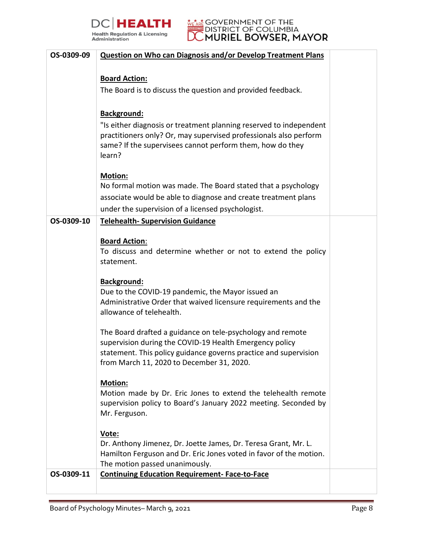



| OS-0309-09 | Question on Who can Diagnosis and/or Develop Treatment Plans                                                                            |  |
|------------|-----------------------------------------------------------------------------------------------------------------------------------------|--|
|            |                                                                                                                                         |  |
|            | <b>Board Action:</b>                                                                                                                    |  |
|            | The Board is to discuss the question and provided feedback.                                                                             |  |
|            |                                                                                                                                         |  |
|            | Background:                                                                                                                             |  |
|            | "Is either diagnosis or treatment planning reserved to independent<br>practitioners only? Or, may supervised professionals also perform |  |
|            | same? If the supervisees cannot perform them, how do they                                                                               |  |
|            | learn?                                                                                                                                  |  |
|            |                                                                                                                                         |  |
|            | <b>Motion:</b>                                                                                                                          |  |
|            | No formal motion was made. The Board stated that a psychology<br>associate would be able to diagnose and create treatment plans         |  |
|            | under the supervision of a licensed psychologist.                                                                                       |  |
| OS-0309-10 | <b>Telehealth- Supervision Guidance</b>                                                                                                 |  |
|            |                                                                                                                                         |  |
|            | <b>Board Action:</b>                                                                                                                    |  |
|            | To discuss and determine whether or not to extend the policy                                                                            |  |
|            | statement.                                                                                                                              |  |
|            | Background:                                                                                                                             |  |
|            | Due to the COVID-19 pandemic, the Mayor issued an                                                                                       |  |
|            | Administrative Order that waived licensure requirements and the                                                                         |  |
|            | allowance of telehealth.                                                                                                                |  |
|            | The Board drafted a guidance on tele-psychology and remote                                                                              |  |
|            | supervision during the COVID-19 Health Emergency policy                                                                                 |  |
|            | statement. This policy guidance governs practice and supervision                                                                        |  |
|            | from March 11, 2020 to December 31, 2020.                                                                                               |  |
|            | <b>Motion:</b>                                                                                                                          |  |
|            | Motion made by Dr. Eric Jones to extend the telehealth remote                                                                           |  |
|            | supervision policy to Board's January 2022 meeting. Seconded by                                                                         |  |
|            | Mr. Ferguson.                                                                                                                           |  |
|            |                                                                                                                                         |  |
|            | Vote:<br>Dr. Anthony Jimenez, Dr. Joette James, Dr. Teresa Grant, Mr. L.                                                                |  |
|            | Hamilton Ferguson and Dr. Eric Jones voted in favor of the motion.                                                                      |  |
|            | The motion passed unanimously.                                                                                                          |  |
| OS-0309-11 | <b>Continuing Education Requirement-Face-to-Face</b>                                                                                    |  |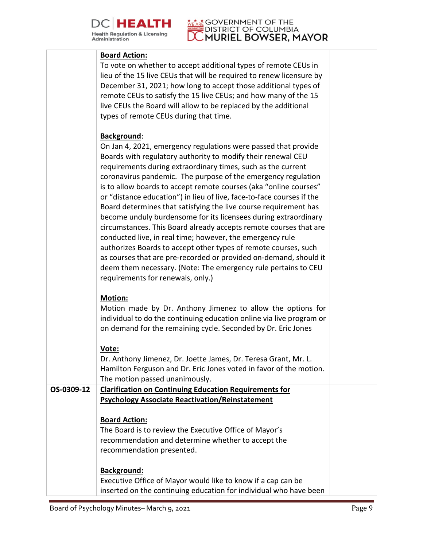

## **DISTRICT OF BOOK POINT PSYCHOLOGY**

### **Board Action:**

|            | To vote on whether to accept additional types of remote CEUs in<br>lieu of the 15 live CEUs that will be required to renew licensure by<br>December 31, 2021; how long to accept those additional types of<br>remote CEUs to satisfy the 15 live CEUs; and how many of the 15<br>live CEUs the Board will allow to be replaced by the additional<br>types of remote CEUs during that time.                                                                                                                                                                                                                                                                                                                                                                                                                                                                                                                                                           |  |
|------------|------------------------------------------------------------------------------------------------------------------------------------------------------------------------------------------------------------------------------------------------------------------------------------------------------------------------------------------------------------------------------------------------------------------------------------------------------------------------------------------------------------------------------------------------------------------------------------------------------------------------------------------------------------------------------------------------------------------------------------------------------------------------------------------------------------------------------------------------------------------------------------------------------------------------------------------------------|--|
|            | Background:<br>On Jan 4, 2021, emergency regulations were passed that provide<br>Boards with regulatory authority to modify their renewal CEU<br>requirements during extraordinary times, such as the current<br>coronavirus pandemic. The purpose of the emergency regulation<br>is to allow boards to accept remote courses (aka "online courses"<br>or "distance education") in lieu of live, face-to-face courses if the<br>Board determines that satisfying the live course requirement has<br>become unduly burdensome for its licensees during extraordinary<br>circumstances. This Board already accepts remote courses that are<br>conducted live, in real time; however, the emergency rule<br>authorizes Boards to accept other types of remote courses, such<br>as courses that are pre-recorded or provided on-demand, should it<br>deem them necessary. (Note: The emergency rule pertains to CEU<br>requirements for renewals, only.) |  |
|            | <b>Motion:</b><br>Motion made by Dr. Anthony Jimenez to allow the options for<br>individual to do the continuing education online via live program or<br>on demand for the remaining cycle. Seconded by Dr. Eric Jones                                                                                                                                                                                                                                                                                                                                                                                                                                                                                                                                                                                                                                                                                                                               |  |
|            | Vote:<br>Dr. Anthony Jimenez, Dr. Joette James, Dr. Teresa Grant, Mr. L.<br>Hamilton Ferguson and Dr. Eric Jones voted in favor of the motion.<br>The motion passed unanimously.                                                                                                                                                                                                                                                                                                                                                                                                                                                                                                                                                                                                                                                                                                                                                                     |  |
| OS-0309-12 | <b>Clarification on Continuing Education Requirements for</b><br><b>Psychology Associate Reactivation/Reinstatement</b>                                                                                                                                                                                                                                                                                                                                                                                                                                                                                                                                                                                                                                                                                                                                                                                                                              |  |
|            | <b>Board Action:</b><br>The Board is to review the Executive Office of Mayor's<br>recommendation and determine whether to accept the<br>recommendation presented.<br><b>Background:</b>                                                                                                                                                                                                                                                                                                                                                                                                                                                                                                                                                                                                                                                                                                                                                              |  |
|            | Executive Office of Mayor would like to know if a cap can be<br>inserted on the continuing education for individual who have been                                                                                                                                                                                                                                                                                                                                                                                                                                                                                                                                                                                                                                                                                                                                                                                                                    |  |